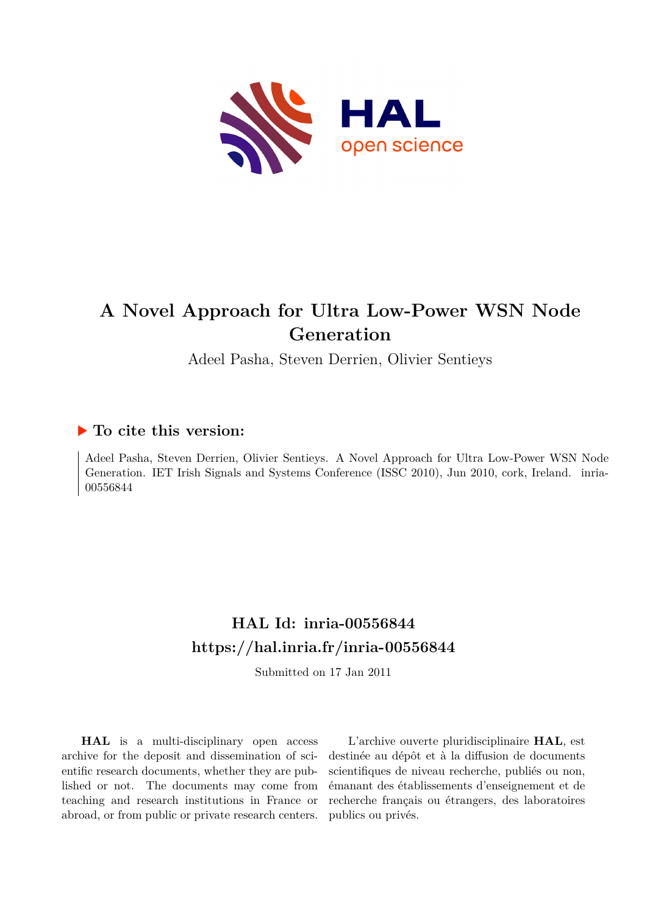

# **A Novel Approach for Ultra Low-Power WSN Node Generation**

Adeel Pasha, Steven Derrien, Olivier Sentieys

### **To cite this version:**

Adeel Pasha, Steven Derrien, Olivier Sentieys. A Novel Approach for Ultra Low-Power WSN Node Generation. IET Irish Signals and Systems Conference (ISSC 2010), Jun 2010, cork, Ireland. inria-00556844

## **HAL Id: inria-00556844 <https://hal.inria.fr/inria-00556844>**

Submitted on 17 Jan 2011

**HAL** is a multi-disciplinary open access archive for the deposit and dissemination of scientific research documents, whether they are published or not. The documents may come from teaching and research institutions in France or abroad, or from public or private research centers.

L'archive ouverte pluridisciplinaire **HAL**, est destinée au dépôt et à la diffusion de documents scientifiques de niveau recherche, publiés ou non, émanant des établissements d'enseignement et de recherche français ou étrangers, des laboratoires publics ou privés.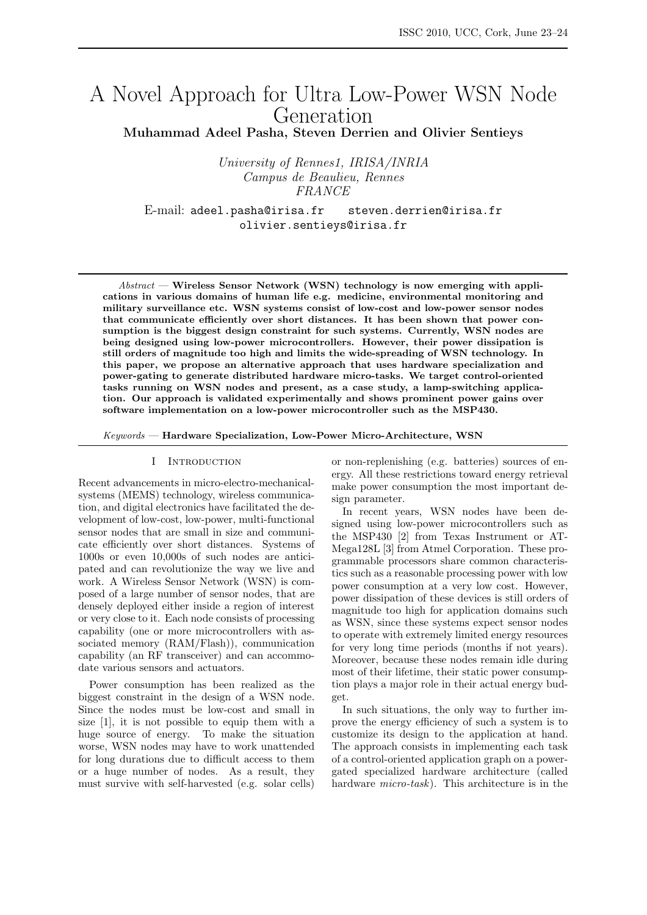# A Novel Approach for Ultra Low-Power WSN Node Generation

Muhammad Adeel Pasha, Steven Derrien and Olivier Sentieys

University of Rennes1, IRISA/INRIA Campus de Beaulieu, Rennes FRANCE

E-mail: adeel.pasha@irisa.fr steven.derrien@irisa.fr olivier.sentieys@irisa.fr

 $Abstract$  — Wireless Sensor Network (WSN) technology is now emerging with applications in various domains of human life e.g. medicine, environmental monitoring and military surveillance etc. WSN systems consist of low-cost and low-power sensor nodes that communicate efficiently over short distances. It has been shown that power consumption is the biggest design constraint for such systems. Currently, WSN nodes are being designed using low-power microcontrollers. However, their power dissipation is still orders of magnitude too high and limits the wide-spreading of WSN technology. In this paper, we propose an alternative approach that uses hardware specialization and power-gating to generate distributed hardware micro-tasks. We target control-oriented tasks running on WSN nodes and present, as a case study, a lamp-switching application. Our approach is validated experimentally and shows prominent power gains over software implementation on a low-power microcontroller such as the MSP430.

Keywords — Hardware Specialization, Low-Power Micro-Architecture, WSN

#### I Introduction

Recent advancements in micro-electro-mechanicalsystems (MEMS) technology, wireless communication, and digital electronics have facilitated the development of low-cost, low-power, multi-functional sensor nodes that are small in size and communicate efficiently over short distances. Systems of 1000s or even 10,000s of such nodes are anticipated and can revolutionize the way we live and work. A Wireless Sensor Network (WSN) is composed of a large number of sensor nodes, that are densely deployed either inside a region of interest or very close to it. Each node consists of processing capability (one or more microcontrollers with associated memory (RAM/Flash)), communication capability (an RF transceiver) and can accommodate various sensors and actuators.

Power consumption has been realized as the biggest constraint in the design of a WSN node. Since the nodes must be low-cost and small in size [1], it is not possible to equip them with a huge source of energy. To make the situation worse, WSN nodes may have to work unattended for long durations due to difficult access to them or a huge number of nodes. As a result, they must survive with self-harvested (e.g. solar cells)

or non-replenishing (e.g. batteries) sources of energy. All these restrictions toward energy retrieval make power consumption the most important design parameter.

In recent years, WSN nodes have been designed using low-power microcontrollers such as the MSP430 [2] from Texas Instrument or AT-Mega128L [3] from Atmel Corporation. These programmable processors share common characteristics such as a reasonable processing power with low power consumption at a very low cost. However, power dissipation of these devices is still orders of magnitude too high for application domains such as WSN, since these systems expect sensor nodes to operate with extremely limited energy resources for very long time periods (months if not years). Moreover, because these nodes remain idle during most of their lifetime, their static power consumption plays a major role in their actual energy budget.

In such situations, the only way to further improve the energy efficiency of such a system is to customize its design to the application at hand. The approach consists in implementing each task of a control-oriented application graph on a powergated specialized hardware architecture (called hardware *micro-task*). This architecture is in the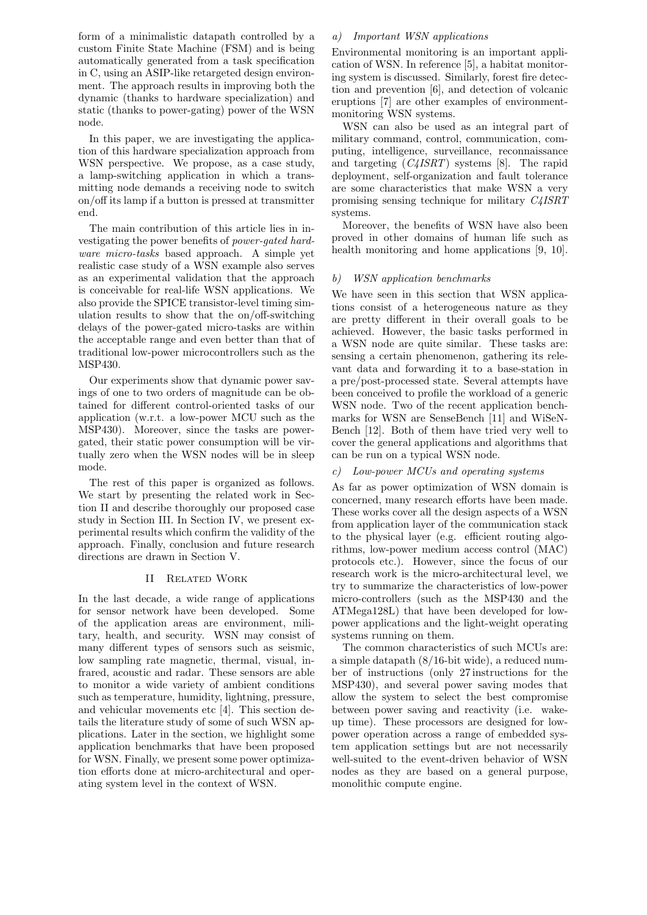form of a minimalistic datapath controlled by a custom Finite State Machine (FSM) and is being automatically generated from a task specification in C, using an ASIP-like retargeted design environment. The approach results in improving both the dynamic (thanks to hardware specialization) and static (thanks to power-gating) power of the WSN node.

In this paper, we are investigating the application of this hardware specialization approach from WSN perspective. We propose, as a case study, a lamp-switching application in which a transmitting node demands a receiving node to switch on/off its lamp if a button is pressed at transmitter end.

The main contribution of this article lies in investigating the power benefits of power-gated hardware micro-tasks based approach. A simple yet realistic case study of a WSN example also serves as an experimental validation that the approach is conceivable for real-life WSN applications. We also provide the SPICE transistor-level timing simulation results to show that the on/off-switching delays of the power-gated micro-tasks are within the acceptable range and even better than that of traditional low-power microcontrollers such as the MSP430.

Our experiments show that dynamic power savings of one to two orders of magnitude can be obtained for different control-oriented tasks of our application (w.r.t. a low-power MCU such as the MSP430). Moreover, since the tasks are powergated, their static power consumption will be virtually zero when the WSN nodes will be in sleep mode.

The rest of this paper is organized as follows. We start by presenting the related work in Section II and describe thoroughly our proposed case study in Section III. In Section IV, we present experimental results which confirm the validity of the approach. Finally, conclusion and future research directions are drawn in Section V.

#### II Related Work

In the last decade, a wide range of applications for sensor network have been developed. Some of the application areas are environment, military, health, and security. WSN may consist of many different types of sensors such as seismic, low sampling rate magnetic, thermal, visual, infrared, acoustic and radar. These sensors are able to monitor a wide variety of ambient conditions such as temperature, humidity, lightning, pressure, and vehicular movements etc [4]. This section details the literature study of some of such WSN applications. Later in the section, we highlight some application benchmarks that have been proposed for WSN. Finally, we present some power optimization efforts done at micro-architectural and operating system level in the context of WSN.

#### a) Important WSN applications

Environmental monitoring is an important application of WSN. In reference [5], a habitat monitoring system is discussed. Similarly, forest fire detection and prevention [6], and detection of volcanic eruptions [7] are other examples of environmentmonitoring WSN systems.

WSN can also be used as an integral part of military command, control, communication, computing, intelligence, surveillance, reconnaissance and targeting (C4ISRT) systems [8]. The rapid deployment, self-organization and fault tolerance are some characteristics that make WSN a very promising sensing technique for military C4ISRT systems.

Moreover, the benefits of WSN have also been proved in other domains of human life such as health monitoring and home applications [9, 10].

#### b) WSN application benchmarks

We have seen in this section that WSN applications consist of a heterogeneous nature as they are pretty different in their overall goals to be achieved. However, the basic tasks performed in a WSN node are quite similar. These tasks are: sensing a certain phenomenon, gathering its relevant data and forwarding it to a base-station in a pre/post-processed state. Several attempts have been conceived to profile the workload of a generic WSN node. Two of the recent application benchmarks for WSN are SenseBench [11] and WiSeN-Bench [12]. Both of them have tried very well to cover the general applications and algorithms that can be run on a typical WSN node.

#### c) Low-power MCUs and operating systems

As far as power optimization of WSN domain is concerned, many research efforts have been made. These works cover all the design aspects of a WSN from application layer of the communication stack to the physical layer (e.g. efficient routing algorithms, low-power medium access control (MAC) protocols etc.). However, since the focus of our research work is the micro-architectural level, we try to summarize the characteristics of low-power micro-controllers (such as the MSP430 and the ATMega128L) that have been developed for lowpower applications and the light-weight operating systems running on them.

The common characteristics of such MCUs are: a simple datapath (8/16-bit wide), a reduced number of instructions (only 27 instructions for the MSP430), and several power saving modes that allow the system to select the best compromise between power saving and reactivity (i.e. wakeup time). These processors are designed for lowpower operation across a range of embedded system application settings but are not necessarily well-suited to the event-driven behavior of WSN nodes as they are based on a general purpose, monolithic compute engine.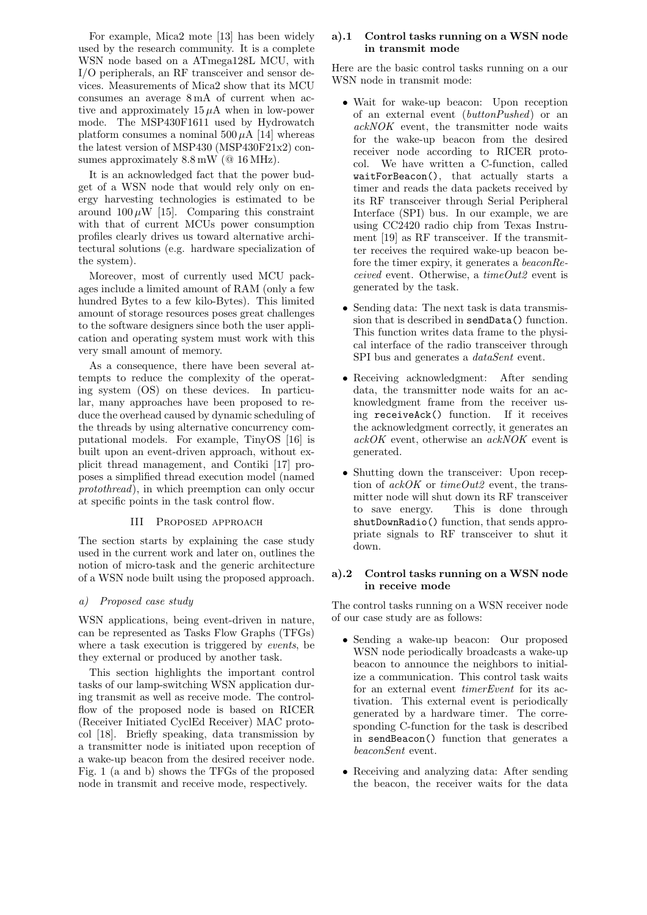For example, Mica2 mote [13] has been widely used by the research community. It is a complete WSN node based on a ATmega128L MCU, with I/O peripherals, an RF transceiver and sensor devices. Measurements of Mica2 show that its MCU consumes an average 8 mA of current when active and approximately  $15 \mu A$  when in low-power mode. The MSP430F1611 used by Hydrowatch platform consumes a nominal  $500 \mu A$  [14] whereas the latest version of MSP430 (MSP430F21x2) consumes approximately  $8.8 \,\mathrm{mW}$  (@ 16 MHz).

It is an acknowledged fact that the power budget of a WSN node that would rely only on energy harvesting technologies is estimated to be around  $100 \mu \text{W}$  [15]. Comparing this constraint with that of current MCUs power consumption profiles clearly drives us toward alternative architectural solutions (e.g. hardware specialization of the system).

Moreover, most of currently used MCU packages include a limited amount of RAM (only a few hundred Bytes to a few kilo-Bytes). This limited amount of storage resources poses great challenges to the software designers since both the user application and operating system must work with this very small amount of memory.

As a consequence, there have been several attempts to reduce the complexity of the operating system (OS) on these devices. In particular, many approaches have been proposed to reduce the overhead caused by dynamic scheduling of the threads by using alternative concurrency computational models. For example, TinyOS [16] is built upon an event-driven approach, without explicit thread management, and Contiki [17] proposes a simplified thread execution model (named protothread), in which preemption can only occur at specific points in the task control flow.

#### III Proposed approach

The section starts by explaining the case study used in the current work and later on, outlines the notion of micro-task and the generic architecture of a WSN node built using the proposed approach.

#### a) Proposed case study

WSN applications, being event-driven in nature, can be represented as Tasks Flow Graphs (TFGs) where a task execution is triggered by *events*, be they external or produced by another task.

This section highlights the important control tasks of our lamp-switching WSN application during transmit as well as receive mode. The controlflow of the proposed node is based on RICER (Receiver Initiated CyclEd Receiver) MAC protocol [18]. Briefly speaking, data transmission by a transmitter node is initiated upon reception of a wake-up beacon from the desired receiver node. Fig. 1 (a and b) shows the TFGs of the proposed node in transmit and receive mode, respectively.

#### a).1 Control tasks running on a WSN node in transmit mode

Here are the basic control tasks running on a our WSN node in transmit mode:

- Wait for wake-up beacon: Upon reception of an external event (buttonPushed) or an ackNOK event, the transmitter node waits for the wake-up beacon from the desired receiver node according to RICER protocol. We have written a C-function, called waitForBeacon(), that actually starts a timer and reads the data packets received by its RF transceiver through Serial Peripheral Interface (SPI) bus. In our example, we are using CC2420 radio chip from Texas Instrument [19] as RF transceiver. If the transmitter receives the required wake-up beacon before the timer expiry, it generates a beaconReceived event. Otherwise, a  $timeOut2$  event is generated by the task.
- Sending data: The next task is data transmission that is described in sendData() function. This function writes data frame to the physical interface of the radio transceiver through SPI bus and generates a *dataSent* event.
- Receiving acknowledgment: After sending data, the transmitter node waits for an acknowledgment frame from the receiver using receiveAck() function. If it receives the acknowledgment correctly, it generates an ackOK event, otherwise an ackNOK event is generated.
- Shutting down the transceiver: Upon reception of  $ackOK$  or  $timeOut2$  event, the transmitter node will shut down its RF transceiver to save energy. This is done through shutDownRadio() function, that sends appropriate signals to RF transceiver to shut it down.

#### a).2 Control tasks running on a WSN node in receive mode

The control tasks running on a WSN receiver node of our case study are as follows:

- Sending a wake-up beacon: Our proposed WSN node periodically broadcasts a wake-up beacon to announce the neighbors to initialize a communication. This control task waits for an external event timerEvent for its activation. This external event is periodically generated by a hardware timer. The corresponding C-function for the task is described in sendBeacon() function that generates a beaconSent event.
- Receiving and analyzing data: After sending the beacon, the receiver waits for the data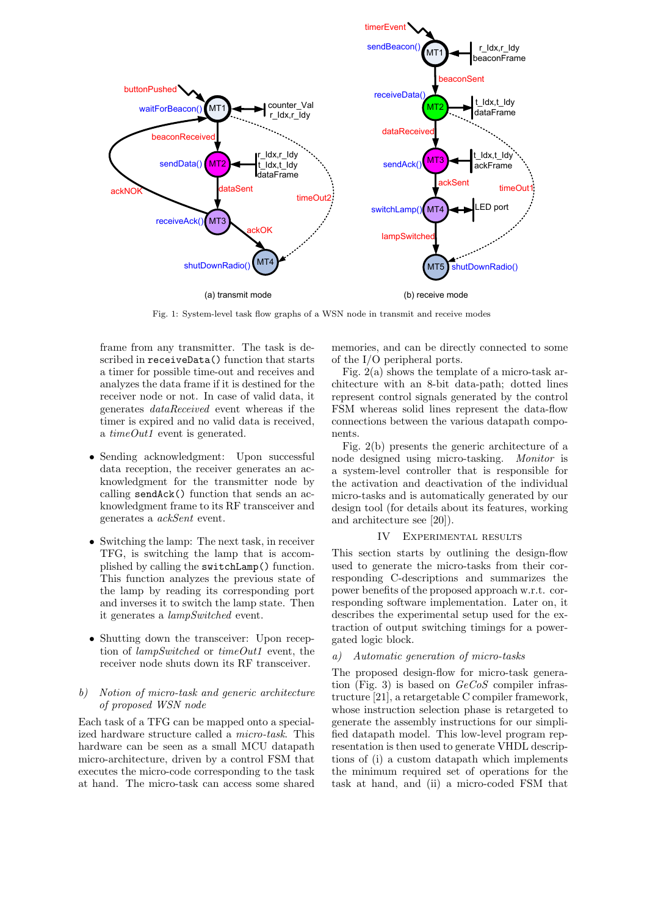

Fig. 1: System-level task flow graphs of a WSN node in transmit and receive modes

frame from any transmitter. The task is described in receiveData() function that starts a timer for possible time-out and receives and analyzes the data frame if it is destined for the receiver node or not. In case of valid data, it generates dataReceived event whereas if the timer is expired and no valid data is received, a timeOut1 event is generated.

- Sending acknowledgment: Upon successful data reception, the receiver generates an acknowledgment for the transmitter node by calling sendAck() function that sends an acknowledgment frame to its RF transceiver and generates a ackSent event.
- Switching the lamp: The next task, in receiver TFG, is switching the lamp that is accomplished by calling the switchLamp() function. This function analyzes the previous state of the lamp by reading its corresponding port and inverses it to switch the lamp state. Then it generates a lampSwitched event.
- Shutting down the transceiver: Upon reception of lampSwitched or timeOut1 event, the receiver node shuts down its RF transceiver.

#### b) Notion of micro-task and generic architecture of proposed WSN node

Each task of a TFG can be mapped onto a specialized hardware structure called a micro-task. This hardware can be seen as a small MCU datapath micro-architecture, driven by a control FSM that executes the micro-code corresponding to the task at hand. The micro-task can access some shared

memories, and can be directly connected to some of the I/O peripheral ports.

Fig. 2(a) shows the template of a micro-task architecture with an 8-bit data-path; dotted lines represent control signals generated by the control FSM whereas solid lines represent the data-flow connections between the various datapath components.

Fig. 2(b) presents the generic architecture of a node designed using micro-tasking. Monitor is a system-level controller that is responsible for the activation and deactivation of the individual micro-tasks and is automatically generated by our design tool (for details about its features, working and architecture see [20]).

#### IV Experimental results

This section starts by outlining the design-flow used to generate the micro-tasks from their corresponding C-descriptions and summarizes the power benefits of the proposed approach w.r.t. corresponding software implementation. Later on, it describes the experimental setup used for the extraction of output switching timings for a powergated logic block.

#### a) Automatic generation of micro-tasks

The proposed design-flow for micro-task generation (Fig. 3) is based on  $GeCoS$  compiler infrastructure [21], a retargetable C compiler framework, whose instruction selection phase is retargeted to generate the assembly instructions for our simplified datapath model. This low-level program representation is then used to generate VHDL descriptions of (i) a custom datapath which implements the minimum required set of operations for the task at hand, and (ii) a micro-coded FSM that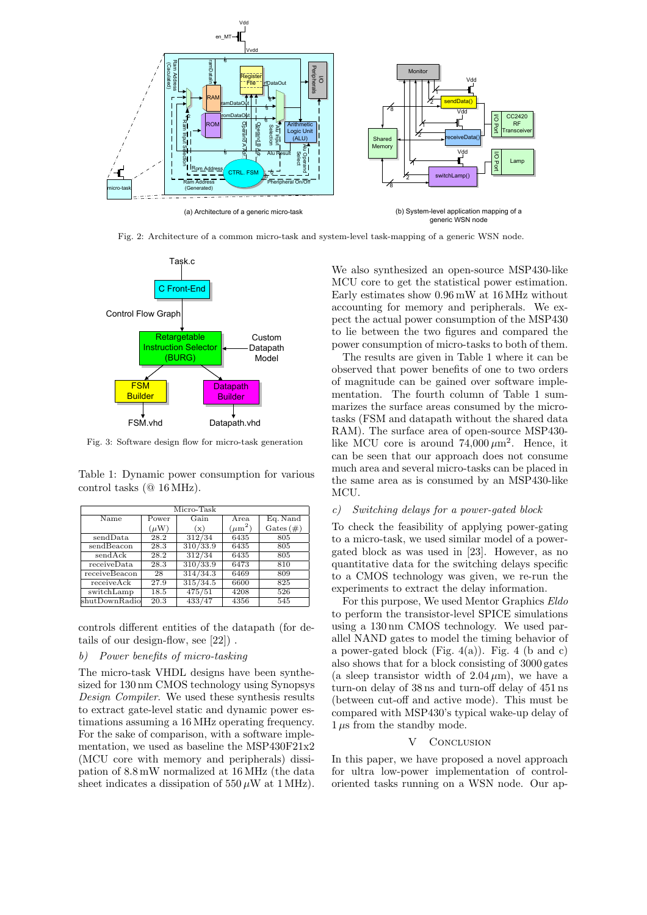

Fig. 2: Architecture of a common micro-task and system-level task-mapping of a generic WSN node.



Fig. 3: Software design flow for micro-task generation

Table 1: Dynamic power consumption for various control tasks (@ 16 MHz).

| Micro-Task    |                   |                |             |                    |
|---------------|-------------------|----------------|-------------|--------------------|
| Name          | Power             | Gain           | Area        | Eq. Nand           |
|               | $(\mu W)$         | $(\mathbf{x})$ | $(\mu m^2)$ | $\text{Gates}(\#)$ |
| sendData      | 28.2              | 312/34         | 6435        | 805                |
| sendBeacon    | 28.3              | 310/33.9       | 6435        | 805                |
| sendAck       | 28.2              | 312/34         | 6435        | 805                |
| receiveData   | 28.3              | 310/33.9       | 6473        | 810                |
| receiveBeacon | 28                | 314/34.3       | 6469        | 809                |
| receiveAck    | 27.9              | 315/34.5       | 6600        | 825                |
| switchLamp    | $\overline{18.5}$ | 475/51         | 4208        | 526                |
| shutDownRadio | $\overline{20.3}$ | 433/47         | 4356        | 545                |

controls different entities of the datapath (for details of our design-flow, see [22]) .

#### b) Power benefits of micro-tasking

The micro-task VHDL designs have been synthesized for 130 nm CMOS technology using Synopsys Design Compiler. We used these synthesis results to extract gate-level static and dynamic power estimations assuming a 16 MHz operating frequency. For the sake of comparison, with a software implementation, we used as baseline the MSP430F21x2 (MCU core with memory and peripherals) dissipation of 8.8 mW normalized at 16 MHz (the data sheet indicates a dissipation of  $550 \mu W$  at 1 MHz).

We also synthesized an open-source MSP430-like MCU core to get the statistical power estimation. Early estimates show 0.96 mW at 16 MHz without accounting for memory and peripherals. We expect the actual power consumption of the MSP430 to lie between the two figures and compared the power consumption of micro-tasks to both of them.

The results are given in Table 1 where it can be observed that power benefits of one to two orders of magnitude can be gained over software implementation. The fourth column of Table 1 summarizes the surface areas consumed by the microtasks (FSM and datapath without the shared data RAM). The surface area of open-source MSP430 like MCU core is around  $74,000 \,\mu m^2$ . Hence, it can be seen that our approach does not consume much area and several micro-tasks can be placed in the same area as is consumed by an MSP430-like MCU.

#### c) Switching delays for a power-gated block

To check the feasibility of applying power-gating to a micro-task, we used similar model of a powergated block as was used in [23]. However, as no quantitative data for the switching delays specific to a CMOS technology was given, we re-run the experiments to extract the delay information.

For this purpose, We used Mentor Graphics Eldo to perform the transistor-level SPICE simulations using a 130 nm CMOS technology. We used parallel NAND gates to model the timing behavior of a power-gated block (Fig.  $4(a)$ ). Fig. 4 (b and c) also shows that for a block consisting of 3000 gates (a sleep transistor width of  $2.04 \mu m$ ), we have a turn-on delay of 38 ns and turn-off delay of 451 ns (between cut-off and active mode). This must be compared with MSP430's typical wake-up delay of  $1 \mu s$  from the standby mode.

#### V CONCLUSION

In this paper, we have proposed a novel approach for ultra low-power implementation of controloriented tasks running on a WSN node. Our ap-